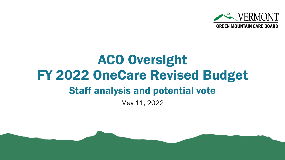

# ACO Oversight FY 2022 OneCare Revised Budget Staff analysis and potential vote

May 11, 2022

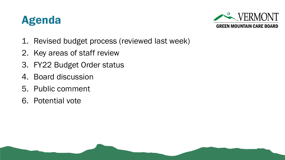



- 1. Revised budget process (reviewed last week)
- 2. Key areas of staff review
- 3. FY22 Budget Order status
- 4. Board discussion
- 5. Public comment
- 6. Potential vote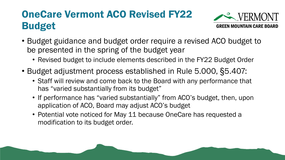### OneCare Vermont ACO Revised FY22 Budget



- Budget guidance and budget order require a revised ACO budget to be presented in the spring of the budget year
	- Revised budget to include elements described in the FY22 Budget Order
- Budget adjustment process established in Rule 5.000, §5.407:
	- Staff will review and come back to the Board with any performance that has "varied substantially from its budget"
	- If performance has "varied substantially" from ACO's budget, then, upon application of ACO, Board may adjust ACO's budget
	- Potential vote noticed for May 11 because OneCare has requested a modification to its budget order.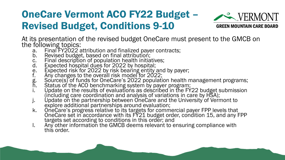### OneCare Vermont ACO FY22 Budget – Revised Budget, Conditions 9-10



At its presentation of the revised budget OneCare must present to the GMCB on the following topics:

- a. Final FY2022 attribution and finalized payer contracts;
- b. Revised budget, based on final attribution;
- c. Final description of population health initiatives;
- d. Expected hospital dues for 2022 by hospital;
- e. Expected risk for 2022 by risk bearing entity and by payer;
- f. Any changes to the overall risk model for 2022;
- g. Source(s) of funds for OneCare's 2022 population health management programs;
- h. Status of the ACO benchmarking system by payer program;
- i. Update on the results of evaluations as described in the FY22 budget submission (including care coordination and analysis of variations in care by HSA);
- j. Update on the partnership between OneCare and the University of Vermont to explore additional partnerships around evaluation;
- k. OneCare's progress relative to its targets for commercial payer FPP levels that OneCare set in accordance with its FY21 budget order, condition 15, and any FPP targets set according to conditions in this order; and
- l. Any other information the GMCB deems relevant to ensuring compliance with this order.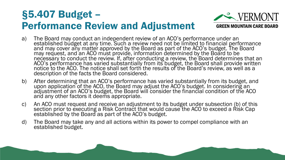#### §5.407 Budget – Performance Review and Adjustment



- a) The Board may conduct an independent review of an ACO's performance under an established budget at any time. Such a review need not be limited to financial performance and may cover any matter approved by the Board as part of the ACO's budget. The Board may request, and an ACO must provide, information determined by the Board to be necessary to conduct the review. If, after conducting a review, the Board determines that an ACO's performance has varied substantially from its budget, the Board shall provide written notice to the ACO. The notice shall set forth the results of the Board's review, as well as a description of the facts the Board considered.
- b) After determining that an ACO's performance has varied substantially from its budget, and upon application of the ACO, the Board may adjust the ACO's budget. In considering an adjustment of an ACO's budget, the Board will consider the financial condition of the ACO and any other factors it deems appropriate.
- c) An ACO must request and receive an adjustment to its budget under subsection (b) of this section prior to executing a Risk Contract that would cause the ACO to exceed a Risk Cap established by the Board as part of the ACO's budget.
- d) The Board may take any and all actions within its power to compel compliance with an established budget.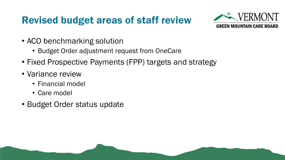### Revised budget areas of staff review



- ACO benchmarking solution
	- Budget Order adjustment request from OneCare
- Fixed Prospective Payments (FPP) targets and strategy
- Variance review
	- Financial model
	- Care model
- Budget Order status update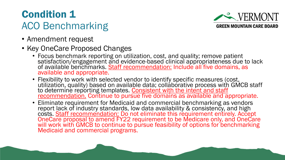### Condition 1 ACO Benchmarking

- Amendment request
- Key OneCare Proposed Changes
	- Focus benchmark reporting on utilization, cost, and quality; remove patient satisfaction/engagement and evidence-based clinical appropriateness due to lack of available benchmarks. **Staff recommendation:** Include all five domains, as available and appropriate.
	- Flexibility to work with selected vendor to identify specific measures (cost, utilization, quality) based on available data; collaborative process with GMCB staff to determine reporting templates. Consistent with the intent and staff recommendation. Continue to pursue five domains as available and appropriate.
	- Eliminate requirement for Medicaid and commercial benchmarking as vendors report lack of industry standards, low data availability & consistency, and high costs. Staff recommendation: Do not eliminate this requirement entirely. Accept OneCare proposal to amend FY22 requirement to be Medicare only, and OneCare will work with GMCB to continue to pursue feasibility of options for benchmarking Medicaid and commercial programs.

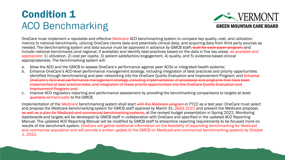#### Condition 1 ACO Benchmarking



OneCare must implement a reputable and effective Medicare ACO benchmarking system to compare key quality, cost, and utilization metrics to national benchmarks, utilizing OneCare claims data and potentially clinical data, and acquiring data from third party sources as needed. The benchmarking system and data source must be approved in advance by GMCB staff, built for each payer program, and include national benchmarks (and regional, if available) and identify best-practices based on the data in five key areas, as available and appropriate: 1) utilization, 2) cost per capita, 3) patient satisfaction/engagement, 4) quality, and 5) evidence-based clinical appropriateness. The benchmarking system will:

- a. Allow the ACO and the GMCB to assess OneCare's performance against peer ACOs or integrated health systems;
- b. Enhance OneCare's ACO-level performance management strategy, including integration of best practices and priority opportunities identified through benchmarking and peer networking into the OneCare Quality Evaluation and Improvement Program; and Enhance OneCare's ACO-level performance management strategy, including implementation of processes and programs that have been implemented at best practice sites, and integration of these priority opportunities into the OneCare Quality Evaluation and Improvement Program; and.
- c. Improve ACO regulatory reporting and performance assessment by providing the benchmarking comparisons to targets at least quarterly semiannually to the GMCB.

Implementation of the Medicare benchmarking system shall start with the Medicare program in FY22 as a test vear. OneCare must select and propose the Medicare benchmarking system for GMCB staff approval by March 31, 2021 2022 and present the Medicare proposalas well as a plan for Medicaid and commercial benchmarking systems, at the revised budget presentation in Spring 2022. Monitoring dashboards and targets will be developed by GMCB staff in collaboration with OneCare and specified in the updated ACO Reporting Manual. The updated ACO Reporting Manual will be modified by GMCB staff to streamline reporting requirements to be focused more on results of the benchmark system. OneCare will gather additional information on the feasibility of expanding benchmarking for Medicaid and commercial population and will provide a written update to the GMCB on Medicaid and commercial benchmarking systems by October 1, 2022.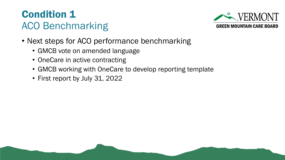#### Condition 1 ACO Benchmarking



- Next steps for ACO performance benchmarking
	- GMCB vote on amended language
	- OneCare in active contracting
	- GMCB working with OneCare to develop reporting template
	- First report by July 31, 2022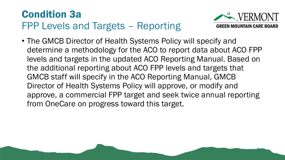### Condition 3a FPP Levels and Targets – Reporting



• The GMCB Director of Health Systems Policy will specify and determine a methodology for the ACO to report data about ACO FPP levels and targets in the updated ACO Reporting Manual. Based on the additional reporting about ACO FPP levels and targets that GMCB staff will specify in the ACO Reporting Manual, GMCB Director of Health Systems Policy will approve, or modify and approve, a commercial FPP target and seek twice annual reporting from OneCare on progress toward this target.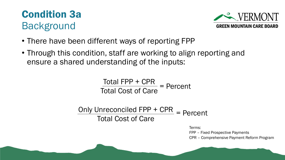



- There have been different ways of reporting FPP
- Through this condition, staff are working to align reporting and ensure a shared understanding of the inputs:

 $Total FPP + CPR$  = Percent Total Cost of Care

Only Unreconciled  $FPP + CPR$  = Percent Total Cost of Care

Terms:

FPP – Fixed Prospective Payments CPR – Comprehensive Payment Reform Program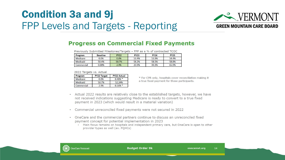#### Condition 3a and 9j FPP Levels and Targets - Reporting



#### **Progress on Commercial Fixed Payments**

Previously Submitted Milestones/Targets - FPP as a % of contracted TCOC

| Program    | <b>Baseline</b> | <b>PY22</b> | <b>PY23</b> | <b>PY24</b> | <b>PY25</b> |
|------------|-----------------|-------------|-------------|-------------|-------------|
| Medicare   | 0.0%            | 0.0%        | 53.4%       | 53.9%       | 54.4%       |
| Medicaid   | 50.4%           | 50.7%       | 58.2%       | 58.5%       | 58.8%       |
| Commercial | 0.00%           | 2.9%        | 23.9%       | 44.9%       | 65.9%       |

#### 2022 Targets vs. Actual

| Program    | <b>PY22 Target</b> | <b>PY22 Actual</b> |
|------------|--------------------|--------------------|
| Medicare   | 0.0%               | $0.48\%$ *         |
| Medicaid   | 50.7%              | 52.24%             |
| Commercial | 2.9%               | $0.16%$ *          |

\* For CPR only, hospitals cover reconciliation making it a true fixed payment for those participants.

- Actual 2022 results are relatively close to the established targets, however, we have  $\bullet$ not received indications suggesting Medicare is ready to convert to a true fixed payment in 2023 (which would result in a material variation)
- Commercial unreconciled fixed payments were not secured in 2022  $\bullet$
- OneCare and the commercial partners continue to discuss an unreconciled fixed  $\bullet$ payment concept for potential implementation in 2023
	- . Main focus remains on hospitals and independent primary care, but OneCare is open to other provider types as well (ex. FQHCs)

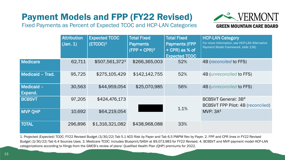#### Payment Models and FPP (FY22 Revised)

Fixed Payments as Percent of Expected TCOC and HCP-LAN Categories



**Attribution** (Jan. 1) Expected TCOC (ETCOC) $^1$ Total Fixed **Payments**  $(FPP + CPR)^2$ Total Fixed Payments (FPP + CPR) as % of Expected TCOC HCP-LAN Category *For more information, see HCP-LAN Alternative Payment Model Framework, slide 136)* Medicare 62,711 \$507,561,372<sup>3</sup> \$266,365,003 52% 4B (*reconciled* to FFS) Medicaid – Trad. 95,725 \$275,105,429 \$142,142,755 52% 4B (*unreconciled* to FFS) Medicaid – Expand. 30,563 \$44,959,054 \$25,070,985 56% 4B (*unreconciled* to FFS) BCBSVT 97,205 \$424,476,173 1.1% BCBSVT General: 3B<sup>4</sup> BCBSVT FPP Pilot: 4B (reconciled) MVP QHP  $10,692$   $$64,219,054$   $\longrightarrow$   $1.1\%$  MVP:  $3A<sup>4</sup>$ TOTAL 296,896 \$1,316,321,082 \$438,968,088 33%

1. Projected (Expected) TCOC: FY22 Revised Budget (3/30/22) Tab 5.1 ACO Risk by Payer and Tab 6.5 PMPM Rev by Payer. 2. FPP and CPR lines in FY22 Revised Budget (3/30/22) Tab 6.4 Sources Uses. 3. Medicare TCOC: Includes Blueprint/SASH at \$9,073,983 for FY22 Revised. 4. BCBSVT and MVP payment model HCP-LAN categorizations according to filings from the GMCB's review of plans' Qualified Health Plan (QHP) premiums for 2022.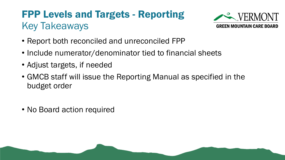### FPP Levels and Targets - Reporting Key Takeaways



- Report both reconciled and unreconciled FPP
- Include numerator/denominator tied to financial sheets
- Adjust targets, if needed
- GMCB staff will issue the Reporting Manual as specified in the budget order
- No Board action required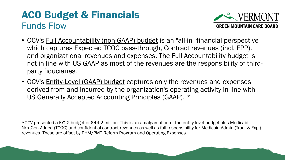#### ACO Budget & Financials Funds Flow



- OCV's Full Accountability (non-GAAP) budget is an "all-in" financial perspective which captures Expected TCOC pass-through, Contract revenues (incl. FPP), and organizational revenues and expenses. The Full Accountability budget is not in line with US GAAP as most of the revenues are the responsibility of thirdparty fiduciaries.
- OCV's Entity-Level (GAAP) budget captures only the revenues and expenses derived from and incurred by the organization's operating activity in line with US Generally Accepted Accounting Principles (GAAP). \*

\*OCV presented a FY22 budget of \$44.2 million. This is an amalgamation of the entity-level budget plus Medicaid NextGen-Added (TCOC) and confidential contract revenues as well as full responsibility for Medicaid Admin (Trad. & Exp.) revenues. These are offset by PHM/PMT Reform Program and Operating Expenses.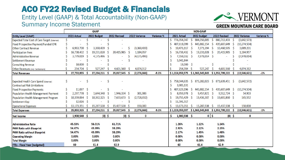#### ACO FY22 Revised Budget & Financials

#### Entity Level (GAAP) & Total Accountability (Non-GAAP) Summary Income Statement



|                                                      | <b>GAAP</b> |               |     |               |     |               | <b>NON-GAAP</b> |               |            |    |                                   |      |                 |    |                  |    |                |            |
|------------------------------------------------------|-------------|---------------|-----|---------------|-----|---------------|-----------------|---------------|------------|----|-----------------------------------|------|-----------------|----|------------------|----|----------------|------------|
| <b>Entity Level (GAAP)</b>                           |             | 2021 Actual   |     | 2022 Budget   |     | 2022 Revised  |                 | 2022 Variance | Variance % |    | 2021 Actual                       |      | 2022 budget     |    | 2022 Revised     |    | 2022 Variance  | Variance % |
| <b>Expected Total Cost of Care Target (External)</b> |             |               |     |               |     |               |                 |               |            | S. | 776,354,347                       |      | 884,356,005     |    | 880,713,433      | -S | (3,642,573)    |            |
| Fixed Prospective Payment/Funded CPR                 |             |               |     |               |     |               |                 |               |            |    | 407,618,099                       |      | 445,882,154 \$  |    | 435,607,649      | -S | (10, 274, 504) |            |
| <b>Other Contract Revenue</b>                        |             | 6,963,700     |     | 3,360,439     |     |               | Ŝ               | (3,360,439)   |            |    | 10,476,117                        |      | 7,371,394 \$    |    | 10,460,595 \$    |    | 3,089,201      |            |
| <b>Participation Fees</b>                            |             | 16,738,432    | - S | 19,231,028    | -S  | 20,415,985    |                 | 1,184,957     |            |    | 16,738,432                        |      | 19,231,028      | -S | 20,415,985       | -S | 1,184,957      |            |
| Administrative Revenue                               |             | 3,779,019     | -S  | 4,175,496     | - S |               |                 | (4, 175, 496) |            |    | 7,558,032 \$                      |      | 7,978,014 \$    |    |                  |    | (7,978,014)    |            |
| <b>Settlement Revenue</b>                            |             |               |     |               |     |               |                 |               |            |    | 5,941,844                         |      |                 |    |                  |    |                |            |
| <b>Consulting Revenue</b>                            |             | 18,000        |     |               |     |               |                 |               |            |    | $18,000$ \$                       |      |                 |    |                  |    |                |            |
| Other Revenues (incl. Settlement)                    |             | 254,704 \$    |     | 527,247       |     | 4,601,560     | -S              | 4,074,312     |            |    | 254,704 \$                        |      | 527,247         |    | 4,601,560        |    | 4,074,312      |            |
| <b>Total Revenues</b>                                |             | 27,753,855    | - Ś | 27,294,211 \$ |     | 25,017,545 \$ |                 | (2, 276, 666) | $-9.1%$    |    | $$1,224,959,575$ $$1,365,345,843$ |      |                 |    | \$ 1,351,799,222 | s  | (13,546,621)   | $-1%$      |
|                                                      |             |               |     |               |     |               |                 |               |            |    |                                   |      |                 |    |                  |    |                |            |
| <b>Expected Health Care Spend (External)</b>         | Ŝ           | ٠             | S   |               | \$  |               |                 |               |            |    | 758,044,635                       | -S   | 875,282,023 \$  |    | 871,639,451 \$   |    | (3,642,572)    |            |
| <b>Contractual Risk Limitations</b>                  |             |               |     |               |     |               |                 |               |            |    | 3,905,131                         |      |                 |    |                  |    |                |            |
| <b>Fixed Prospective Payments</b>                    |             | $11,097$ \$   |     |               |     |               |                 |               |            |    | 407,629,196                       | -S   | 445,882,154 \$  |    | 435,607,649      | -S | (10, 274, 504) |            |
| Population Health Management Payment                 |             | 2,297,778     | -\$ | 1,644,348     | - S | 1,946,334 \$  |                 | 301,986       |            |    | 8,959,978                         | - \$ | $9,457,821$ \$  |    | $9,512,724$ \$   |    | 54,903         |            |
| Population Health Management Program                 |             | 10,359,064 \$ |     | 10,362,325    | - S | 7,633,673     | -S              | (2,728,652)   |            |    | 19,755,429                        | - S  | 19,436,307 \$   |    | 19,601,860 \$    |    | 165,552        |            |
| <b>Settlement Exp</b>                                |             | $12,026$ \$   |     |               |     |               |                 |               |            |    | 11,591,317                        |      |                 |    |                  |    |                |            |
| <b>Operational Expenses</b>                          |             | 13,173,351    | - S | 15,287,538    |     | 15,437,538    |                 | 150,000       |            |    | 13,173,351                        | -S   | 15,287,538 \$   |    | 15,437,538 \$    |    | 150,000        |            |
| <b>Total Expenses</b>                                |             | 25,853,315    | - S | 27,294,211    |     | 25,017,545    | -S              | (2, 276, 666) | $-9.1%$    |    | \$1,223,059,037                   |      | \$1,365,345,843 |    | \$ 1,351,799,222 | s  | (13,546,621)   | $-1%$      |
| <b>Net Income</b>                                    |             | 1,900,540 \$  |     | $(0)$ \$      |     | (0) \$        |                 | 0             |            | Ŝ  | 1,900,538                         | - Ś  | $0 \mid \xi$    |    | (0) \$           |    | 0              |            |
|                                                      |             |               |     |               |     |               |                 |               |            |    |                                   |      |                 |    |                  |    |                |            |
| Administrative Ratio                                 |             | 45.53%        |     | 56.01%        |     | 61.71%        |                 |               |            |    | 1.26%                             |      | 1.12%           |    | 1.14%            |    |                |            |
| <b>PHM Ratio with Blueprint</b>                      |             | 54.47%        |     | 43.99%        |     | 38.29%        |                 |               |            |    | 2.92%                             |      | 2.12%           |    | 2.15%            |    |                |            |
| <b>PHM Ratio without Blueprint</b>                   |             | 54.47%        |     | 43.99%        |     | 38.29%        |                 |               |            |    | 2.17%                             |      | 1.45%           |    | 1.48%            |    |                |            |
| <b>Operating Margin</b>                              |             | 0.00%         |     | 0.00%         |     | 0.00%         |                 |               |            |    | 0.00%                             |      | 0.00%           |    | 0.00%            |    |                |            |
| <b>Total Margin</b>                                  |             | 0.00%         |     | 0.00%         |     | 0.00%         |                 |               |            |    | 0.00%                             |      | 0.00%           |    | 0.00%            |    |                |            |
| <b>FTEs - Fiscal Year (budgeted)</b>                 |             | 60            |     | 61.4          |     | 62.9          |                 |               |            |    | 60                                |      | 61.4            |    | 62.9             |    |                |            |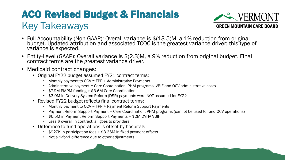### ACO Revised Budget & Financials Key Takeaways



- Full Accountability (Non-GAAP): Overall variance is \$(13.5)M, a 1% reduction from original budget. Updated attribution and associated TCOC is the greatest variance driver; this type of variance is expected.
- Entity-Level (GAAP): Overall variance is \$(2.3)M, a 9% reduction from original budget. Final contract terms are the greatest variance driver.
- Medicaid contract changes:
	- Original FY22 budget assumed FY21 contract terms:
		- Monthly payment to OCV = FPP + Administrative Payments
		- Administrative payment = Care Coordination, PHM programs, VBIF and OCV administrative costs
		- \$7.9M PMPM funding + \$3.6M Care Coordination
		- \$3.9M in Delivery System Reform (DSR) payments were NOT assumed for FY22
	- Revised FY22 budget reflects final contract terms:
		- Monthly payment to OCV = FPP + Payment Reform Support Payments
		- Payment Reform Support Payment = Care Coordination, PHM programs (cannot be used to fund OCV operations)
		- \$6.5M in Payment Reform Support Payments + \$2M DVHA VBIF
		- Less \$ overall in contract; all goes to providers
	- Difference to fund operations is offset by hospitals
		- \$927K in participation fees + \$3.36M in fixed payment offsets
		- Not a 1-for-1 difference due to other adjustments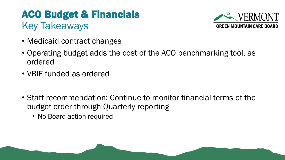### ACO Budget & Financials Key Takeaways



- Medicaid contract changes
- Operating budget adds the cost of the ACO benchmarking tool, as ordered
- VBIF funded as ordered
- Staff recommendation: Continue to monitor financial terms of the budget order through Quarterly reporting
	- No Board action required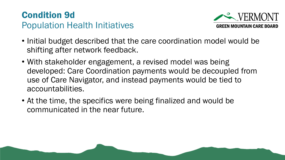#### Condition 9d Population Health Initiatives



- Initial budget described that the care coordination model would be shifting after network feedback.
- With stakeholder engagement, a revised model was being developed: Care Coordination payments would be decoupled from use of Care Navigator, and instead payments would be tied to accountabilities.
- At the time, the specifics were being finalized and would be communicated in the near future.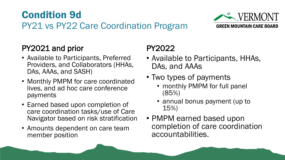#### Condition 9d PY21 vs PY22 Care Coordination Program



#### PY2021 and prior

- Available to Participants, Preferred Providers, and Collaborators (HHAs, DAs, AAAs, and SASH)
- Monthly PMPM for care coordinated lives, and ad hoc care conference payments
- Earned based upon completion of care coordination tasks/use of Care Navigator based on risk stratification
- Amounts dependent on care team member position

#### PY2022

- Available to Participants, HHAs, DAs, and AAAs
- Two types of payments
	- monthly PMPM for full panel (85%)
	- annual bonus payment (up to 15%)
- PMPM earned based upon completion of care coordination accountabilities.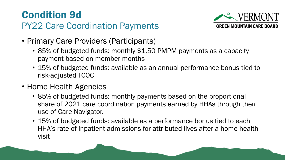#### Condition 9d PY22 Care Coordination Payments



- Primary Care Providers (Participants)
	- 85% of budgeted funds: monthly \$1.50 PMPM payments as a capacity payment based on member months
	- 15% of budgeted funds: available as an annual performance bonus tied to risk-adjusted TCOC
- Home Health Agencies
	- 85% of budgeted funds: monthly payments based on the proportional share of 2021 care coordination payments earned by HHAs through their use of Care Navigator.
	- 15% of budgeted funds: available as a performance bonus tied to each HHA's rate of inpatient admissions for attributed lives after a home health visit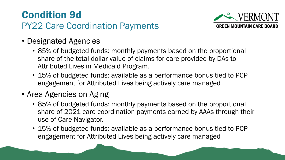#### Condition 9d PY22 Care Coordination Payments



- Designated Agencies
	- 85% of budgeted funds: monthly payments based on the proportional share of the total dollar value of claims for care provided by DAs to Attributed Lives in Medicaid Program.
	- 15% of budgeted funds: available as a performance bonus tied to PCP engagement for Attributed Lives being actively care managed
- Area Agencies on Aging
	- 85% of budgeted funds: monthly payments based on the proportional share of 2021 care coordination payments earned by AAAs through their use of Care Navigator.
	- 15% of budgeted funds: available as a performance bonus tied to PCP engagement for Attributed Lives being actively care managed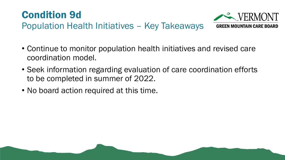



- Continue to monitor population health initiatives and revised care coordination model.
- Seek information regarding evaluation of care coordination efforts to be completed in summer of 2022.
- No board action required at this time.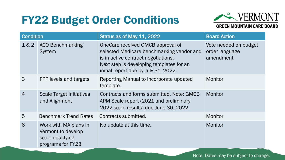

#### **GREEN MOUNTAIN CARE BOARD**  $\vert$  Condition  $\vert$  Status as of May 11, 2022  $\vert$  Board Action Vote needed on budget order language

| 1&2            | <b>ACO Benchmarking</b><br>System                                                    | OneCare received GMCB approval of<br>selected Medicare benchmarking vendor and<br>is in active contract negotiations.<br>Next step is developing templates for an<br>initial report due by July 31, 2022. | Vote needed on budget<br>order language<br>amendment |  |  |
|----------------|--------------------------------------------------------------------------------------|-----------------------------------------------------------------------------------------------------------------------------------------------------------------------------------------------------------|------------------------------------------------------|--|--|
| 3              | FPP levels and targets                                                               | Reporting Manual to incorporate updated<br>template.                                                                                                                                                      | Monitor                                              |  |  |
| $\overline{4}$ | <b>Scale Target Initiatives</b><br>and Alignment                                     | Contracts and forms submitted. Note: GMCB<br>APM Scale report (2021 and preliminary<br>2022 scale results) due June 30, 2022.                                                                             | Monitor                                              |  |  |
| 5              | <b>Benchmark Trend Rates</b>                                                         | Contracts submitted.                                                                                                                                                                                      | Monitor                                              |  |  |
| 6              | Work with MA plans in<br>Vermont to develop<br>scale qualifying<br>programs for FY23 | No update at this time.                                                                                                                                                                                   | Monitor                                              |  |  |

Note: Dates may be subject to change.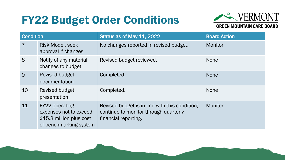

| <b>Condition</b> |                                                                                                       | Status as of May 11, 2022                                                                                       | <b>Board Action</b> |  |
|------------------|-------------------------------------------------------------------------------------------------------|-----------------------------------------------------------------------------------------------------------------|---------------------|--|
| $\overline{7}$   | <b>Risk Model, seek</b><br>approval if changes                                                        | No changes reported in revised budget.                                                                          | Monitor             |  |
| 8                | Notify of any material<br>changes to budget                                                           | Revised budget reviewed.                                                                                        | <b>None</b>         |  |
| 9                | <b>Revised budget</b><br>documentation                                                                | Completed.                                                                                                      | <b>None</b>         |  |
| 10               | <b>Revised budget</b><br>presentation                                                                 | Completed.                                                                                                      | <b>None</b>         |  |
| 11               | <b>FY22 operating</b><br>expenses not to exceed<br>\$15.3 million plus cost<br>of benchmarking system | Revised budget is in line with this condition;<br>continue to monitor through quarterly<br>financial reporting. | Monitor             |  |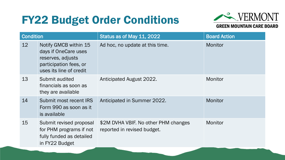

| <b>Condition</b> |                                                                                                                         | Status as of May 11, 2022                                           | <b>Board Action</b> |
|------------------|-------------------------------------------------------------------------------------------------------------------------|---------------------------------------------------------------------|---------------------|
| 12               | Notify GMCB within 15<br>days if OneCare uses<br>reserves, adjusts<br>participation fees, or<br>uses its line of credit | Ad hoc, no update at this time.                                     | Monitor             |
| 13               | Submit audited<br>financials as soon as<br>they are available                                                           | Anticipated August 2022.                                            | Monitor             |
| 14               | Submit most recent IRS<br>Form 990 as soon as it<br>is available                                                        | Anticipated in Summer 2022.                                         | Monitor             |
| 15               | Submit revised proposal<br>for PHM programs if not<br>fully funded as detailed<br>in FY22 Budget                        | \$2M DVHA VBIF. No other PHM changes<br>reported in revised budget. | Monitor             |
|                  |                                                                                                                         |                                                                     |                     |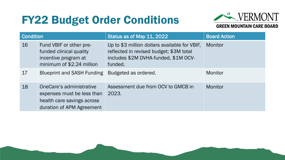

| <b>Condition</b> |                                                                                                                   | Status as of May 11, 2022                                                                                                                   | <b>Board Action</b> |  |  |  |
|------------------|-------------------------------------------------------------------------------------------------------------------|---------------------------------------------------------------------------------------------------------------------------------------------|---------------------|--|--|--|
| 16               | Fund VBIF or other pre-<br>funded clinical quality<br>incentive program at<br>minimum of \$2.24 million           | Up to \$3 million dollars available for VBIF,<br>reflected in revised budget; \$3M total<br>includes \$2M DVHA-funded, \$1M OCV-<br>funded. | Monitor             |  |  |  |
| 17               | <b>Blueprint and SASH Funding</b>                                                                                 | Budgeted as ordered.                                                                                                                        | Monitor             |  |  |  |
| 18               | OneCare's administrative<br>expenses must be less than<br>health care savings across<br>duration of APM Agreement | Assessment due from OCV to GMCB in<br>2023.                                                                                                 | Monitor             |  |  |  |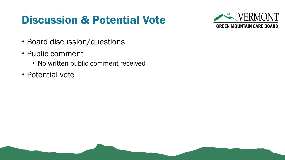## Discussion & Potential Vote



- Board discussion/questions
- Public comment
	- No written public comment received
- Potential vote